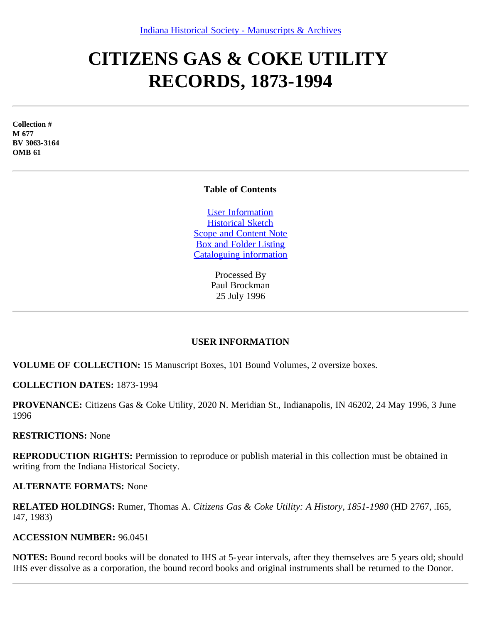# **CITIZENS GAS & COKE UTILITY RECORDS, 1873-1994**

**Collection # M 677 BV 3063-3164 OMB 61**

## **Table of Contents**

[User Information](#page-0-0) [Historical Sketch](#page-1-0) [Scope and Content Note](#page-1-1) [Box and Folder Listing](#page-2-0) [Cataloguing information](#page-15-0)

> Processed By Paul Brockman 25 July 1996

# **USER INFORMATION**

<span id="page-0-0"></span>**VOLUME OF COLLECTION:** 15 Manuscript Boxes, 101 Bound Volumes, 2 oversize boxes.

**COLLECTION DATES:** 1873-1994

**PROVENANCE:** Citizens Gas & Coke Utility, 2020 N. Meridian St., Indianapolis, IN 46202, 24 May 1996, 3 June 1996

#### **RESTRICTIONS:** None

**REPRODUCTION RIGHTS:** Permission to reproduce or publish material in this collection must be obtained in writing from the Indiana Historical Society.

#### **ALTERNATE FORMATS:** None

**RELATED HOLDINGS:** Rumer, Thomas A. *Citizens Gas & Coke Utility: A History, 1851-1980* (HD 2767, .I65, I47, 1983)

#### **ACCESSION NUMBER:** 96.0451

**NOTES:** Bound record books will be donated to IHS at 5-year intervals, after they themselves are 5 years old; should IHS ever dissolve as a corporation, the bound record books and original instruments shall be returned to the Donor.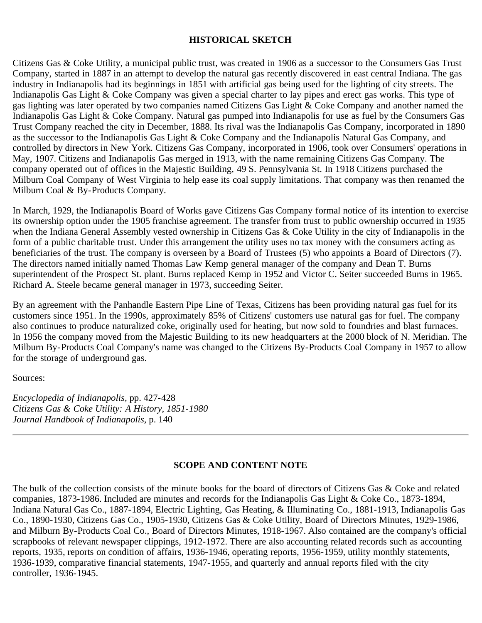# **HISTORICAL SKETCH**

<span id="page-1-0"></span>Citizens Gas & Coke Utility, a municipal public trust, was created in 1906 as a successor to the Consumers Gas Trust Company, started in 1887 in an attempt to develop the natural gas recently discovered in east central Indiana. The gas industry in Indianapolis had its beginnings in 1851 with artificial gas being used for the lighting of city streets. The Indianapolis Gas Light & Coke Company was given a special charter to lay pipes and erect gas works. This type of gas lighting was later operated by two companies named Citizens Gas Light & Coke Company and another named the Indianapolis Gas Light & Coke Company. Natural gas pumped into Indianapolis for use as fuel by the Consumers Gas Trust Company reached the city in December, 1888. Its rival was the Indianapolis Gas Company, incorporated in 1890 as the successor to the Indianapolis Gas Light & Coke Company and the Indianapolis Natural Gas Company, and controlled by directors in New York. Citizens Gas Company, incorporated in 1906, took over Consumers' operations in May, 1907. Citizens and Indianapolis Gas merged in 1913, with the name remaining Citizens Gas Company. The company operated out of offices in the Majestic Building, 49 S. Pennsylvania St. In 1918 Citizens purchased the Milburn Coal Company of West Virginia to help ease its coal supply limitations. That company was then renamed the Milburn Coal & By-Products Company.

In March, 1929, the Indianapolis Board of Works gave Citizens Gas Company formal notice of its intention to exercise its ownership option under the 1905 franchise agreement. The transfer from trust to public ownership occurred in 1935 when the Indiana General Assembly vested ownership in Citizens Gas & Coke Utility in the city of Indianapolis in the form of a public charitable trust. Under this arrangement the utility uses no tax money with the consumers acting as beneficiaries of the trust. The company is overseen by a Board of Trustees (5) who appoints a Board of Directors (7). The directors named initially named Thomas Law Kemp general manager of the company and Dean T. Burns superintendent of the Prospect St. plant. Burns replaced Kemp in 1952 and Victor C. Seiter succeeded Burns in 1965. Richard A. Steele became general manager in 1973, succeeding Seiter.

By an agreement with the Panhandle Eastern Pipe Line of Texas, Citizens has been providing natural gas fuel for its customers since 1951. In the 1990s, approximately 85% of Citizens' customers use natural gas for fuel. The company also continues to produce naturalized coke, originally used for heating, but now sold to foundries and blast furnaces. In 1956 the company moved from the Majestic Building to its new headquarters at the 2000 block of N. Meridian. The Milburn By-Products Coal Company's name was changed to the Citizens By-Products Coal Company in 1957 to allow for the storage of underground gas.

Sources:

*Encyclopedia of Indianapolis,* pp. 427-428 *Citizens Gas & Coke Utility: A History, 1851-1980 Journal Handbook of Indianapolis,* p. 140

## **SCOPE AND CONTENT NOTE**

<span id="page-1-1"></span>The bulk of the collection consists of the minute books for the board of directors of Citizens Gas & Coke and related companies, 1873-1986. Included are minutes and records for the Indianapolis Gas Light & Coke Co., 1873-1894, Indiana Natural Gas Co., 1887-1894, Electric Lighting, Gas Heating, & Illuminating Co., 1881-1913, Indianapolis Gas Co., 1890-1930, Citizens Gas Co., 1905-1930, Citizens Gas & Coke Utility, Board of Directors Minutes, 1929-1986, and Milburn By-Products Coal Co., Board of Directors Minutes, 1918-1967. Also contained are the company's official scrapbooks of relevant newspaper clippings, 1912-1972. There are also accounting related records such as accounting reports, 1935, reports on condition of affairs, 1936-1946, operating reports, 1956-1959, utility monthly statements, 1936-1939, comparative financial statements, 1947-1955, and quarterly and annual reports filed with the city controller, 1936-1945.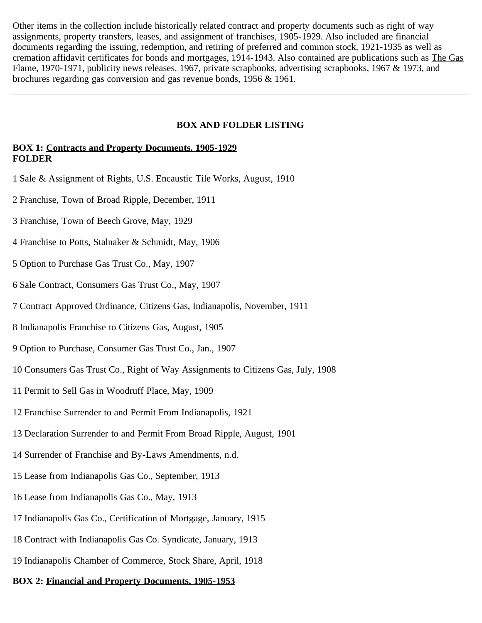Other items in the collection include historically related contract and property documents such as right of way assignments, property transfers, leases, and assignment of franchises, 1905-1929. Also included are financial documents regarding the issuing, redemption, and retiring of preferred and common stock, 1921-1935 as well as cremation affidavit certificates for bonds and mortgages, 1914-1943. Also contained are publications such as The Gas Flame, 1970-1971, publicity news releases, 1967, private scrapbooks, advertising scrapbooks, 1967 & 1973, and brochures regarding gas conversion and gas revenue bonds, 1956 & 1961.

#### **BOX AND FOLDER LISTING**

# <span id="page-2-0"></span>**BOX 1: Contracts and Property Documents, 1905-1929 FOLDER**

- 1 Sale & Assignment of Rights, U.S. Encaustic Tile Works, August, 1910
- 2 Franchise, Town of Broad Ripple, December, 1911
- 3 Franchise, Town of Beech Grove, May, 1929
- 4 Franchise to Potts, Stalnaker & Schmidt, May, 1906
- 5 Option to Purchase Gas Trust Co., May, 1907
- 6 Sale Contract, Consumers Gas Trust Co., May, 1907
- 7 Contract Approved Ordinance, Citizens Gas, Indianapolis, November, 1911
- 8 Indianapolis Franchise to Citizens Gas, August, 1905
- 9 Option to Purchase, Consumer Gas Trust Co., Jan., 1907
- 10 Consumers Gas Trust Co., Right of Way Assignments to Citizens Gas, July, 1908
- 11 Permit to Sell Gas in Woodruff Place, May, 1909
- 12 Franchise Surrender to and Permit From Indianapolis, 1921
- 13 Declaration Surrender to and Permit From Broad Ripple, August, 1901
- 14 Surrender of Franchise and By-Laws Amendments, n.d.
- 15 Lease from Indianapolis Gas Co., September, 1913
- 16 Lease from Indianapolis Gas Co., May, 1913
- 17 Indianapolis Gas Co., Certification of Mortgage, January, 1915
- 18 Contract with Indianapolis Gas Co. Syndicate, January, 1913
- 19 Indianapolis Chamber of Commerce, Stock Share, April, 1918

#### **BOX 2: Financial and Property Documents, 1905-1953**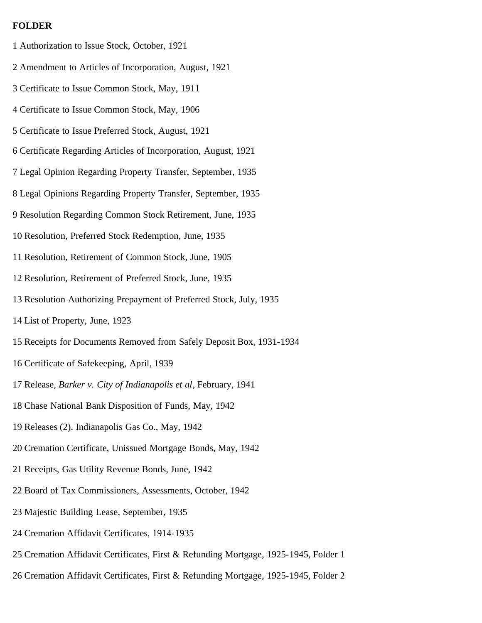#### **FOLDER**

- 1 Authorization to Issue Stock, October, 1921
- 2 Amendment to Articles of Incorporation, August, 1921
- 3 Certificate to Issue Common Stock, May, 1911
- 4 Certificate to Issue Common Stock, May, 1906
- 5 Certificate to Issue Preferred Stock, August, 1921
- 6 Certificate Regarding Articles of Incorporation, August, 1921
- 7 Legal Opinion Regarding Property Transfer, September, 1935
- 8 Legal Opinions Regarding Property Transfer, September, 1935
- 9 Resolution Regarding Common Stock Retirement, June, 1935
- 10 Resolution, Preferred Stock Redemption, June, 1935
- 11 Resolution, Retirement of Common Stock, June, 1905
- 12 Resolution, Retirement of Preferred Stock, June, 1935
- 13 Resolution Authorizing Prepayment of Preferred Stock, July, 1935
- 14 List of Property, June, 1923
- 15 Receipts for Documents Removed from Safely Deposit Box, 1931-1934
- 16 Certificate of Safekeeping, April, 1939
- 17 Release, *Barker v. City of Indianapolis et al*, February, 1941
- 18 Chase National Bank Disposition of Funds, May, 1942
- 19 Releases (2), Indianapolis Gas Co., May, 1942
- 20 Cremation Certificate, Unissued Mortgage Bonds, May, 1942
- 21 Receipts, Gas Utility Revenue Bonds, June, 1942
- 22 Board of Tax Commissioners, Assessments, October, 1942
- 23 Majestic Building Lease, September, 1935
- 24 Cremation Affidavit Certificates, 1914-1935
- 25 Cremation Affidavit Certificates, First & Refunding Mortgage, 1925-1945, Folder 1
- 26 Cremation Affidavit Certificates, First & Refunding Mortgage, 1925-1945, Folder 2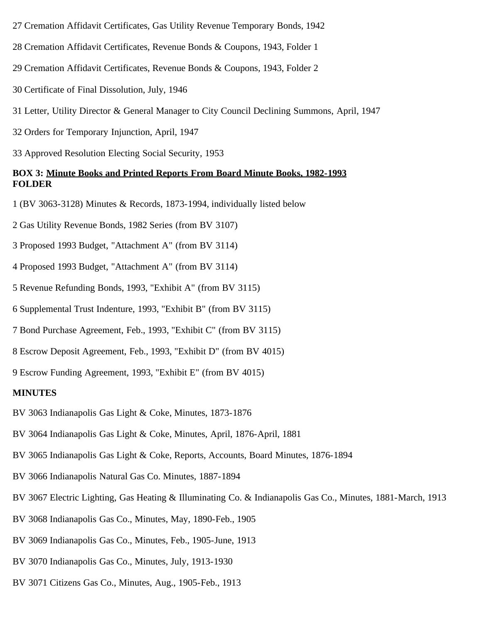- 27 Cremation Affidavit Certificates, Gas Utility Revenue Temporary Bonds, 1942
- 28 Cremation Affidavit Certificates, Revenue Bonds & Coupons, 1943, Folder 1
- 29 Cremation Affidavit Certificates, Revenue Bonds & Coupons, 1943, Folder 2
- 30 Certificate of Final Dissolution, July, 1946
- 31 Letter, Utility Director & General Manager to City Council Declining Summons, April, 1947
- 32 Orders for Temporary Injunction, April, 1947
- 33 Approved Resolution Electing Social Security, 1953

## **BOX 3: Minute Books and Printed Reports From Board Minute Books, 1982-1993 FOLDER**

- 1 (BV 3063-3128) Minutes & Records, 1873-1994, individually listed below
- 2 Gas Utility Revenue Bonds, 1982 Series (from BV 3107)
- 3 Proposed 1993 Budget, "Attachment A" (from BV 3114)
- 4 Proposed 1993 Budget, "Attachment A" (from BV 3114)
- 5 Revenue Refunding Bonds, 1993, "Exhibit A" (from BV 3115)
- 6 Supplemental Trust Indenture, 1993, "Exhibit B" (from BV 3115)
- 7 Bond Purchase Agreement, Feb., 1993, "Exhibit C" (from BV 3115)
- 8 Escrow Deposit Agreement, Feb., 1993, "Exhibit D" (from BV 4015)
- 9 Escrow Funding Agreement, 1993, "Exhibit E" (from BV 4015)

#### **MINUTES**

- BV 3063 Indianapolis Gas Light & Coke, Minutes, 1873-1876
- BV 3064 Indianapolis Gas Light & Coke, Minutes, April, 1876-April, 1881
- BV 3065 Indianapolis Gas Light & Coke, Reports, Accounts, Board Minutes, 1876-1894
- BV 3066 Indianapolis Natural Gas Co. Minutes, 1887-1894
- BV 3067 Electric Lighting, Gas Heating & Illuminating Co. & Indianapolis Gas Co., Minutes, 1881-March, 1913
- BV 3068 Indianapolis Gas Co., Minutes, May, 1890-Feb., 1905
- BV 3069 Indianapolis Gas Co., Minutes, Feb., 1905-June, 1913
- BV 3070 Indianapolis Gas Co., Minutes, July, 1913-1930
- BV 3071 Citizens Gas Co., Minutes, Aug., 1905-Feb., 1913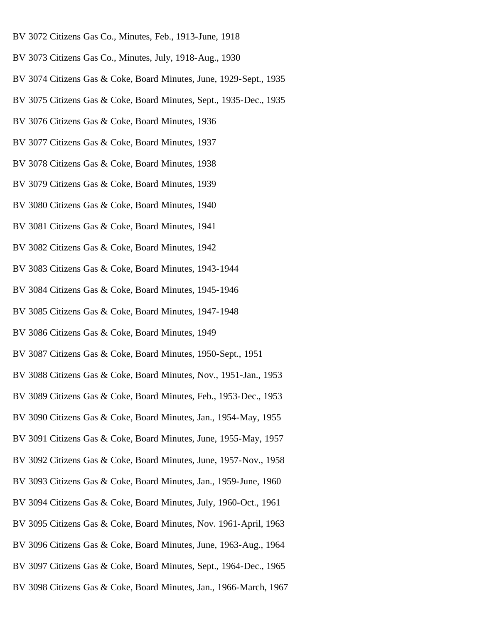- BV 3072 Citizens Gas Co., Minutes, Feb., 1913-June, 1918
- BV 3073 Citizens Gas Co., Minutes, July, 1918-Aug., 1930
- BV 3074 Citizens Gas & Coke, Board Minutes, June, 1929-Sept., 1935
- BV 3075 Citizens Gas & Coke, Board Minutes, Sept., 1935-Dec., 1935
- BV 3076 Citizens Gas & Coke, Board Minutes, 1936
- BV 3077 Citizens Gas & Coke, Board Minutes, 1937
- BV 3078 Citizens Gas & Coke, Board Minutes, 1938
- BV 3079 Citizens Gas & Coke, Board Minutes, 1939
- BV 3080 Citizens Gas & Coke, Board Minutes, 1940
- BV 3081 Citizens Gas & Coke, Board Minutes, 1941
- BV 3082 Citizens Gas & Coke, Board Minutes, 1942
- BV 3083 Citizens Gas & Coke, Board Minutes, 1943-1944
- BV 3084 Citizens Gas & Coke, Board Minutes, 1945-1946
- BV 3085 Citizens Gas & Coke, Board Minutes, 1947-1948
- BV 3086 Citizens Gas & Coke, Board Minutes, 1949
- BV 3087 Citizens Gas & Coke, Board Minutes, 1950-Sept., 1951
- BV 3088 Citizens Gas & Coke, Board Minutes, Nov., 1951-Jan., 1953
- BV 3089 Citizens Gas & Coke, Board Minutes, Feb., 1953-Dec., 1953
- BV 3090 Citizens Gas & Coke, Board Minutes, Jan., 1954-May, 1955
- BV 3091 Citizens Gas & Coke, Board Minutes, June, 1955-May, 1957
- BV 3092 Citizens Gas & Coke, Board Minutes, June, 1957-Nov., 1958
- BV 3093 Citizens Gas & Coke, Board Minutes, Jan., 1959-June, 1960
- BV 3094 Citizens Gas & Coke, Board Minutes, July, 1960-Oct., 1961
- BV 3095 Citizens Gas & Coke, Board Minutes, Nov. 1961-April, 1963
- BV 3096 Citizens Gas & Coke, Board Minutes, June, 1963-Aug., 1964
- BV 3097 Citizens Gas & Coke, Board Minutes, Sept., 1964-Dec., 1965
- BV 3098 Citizens Gas & Coke, Board Minutes, Jan., 1966-March, 1967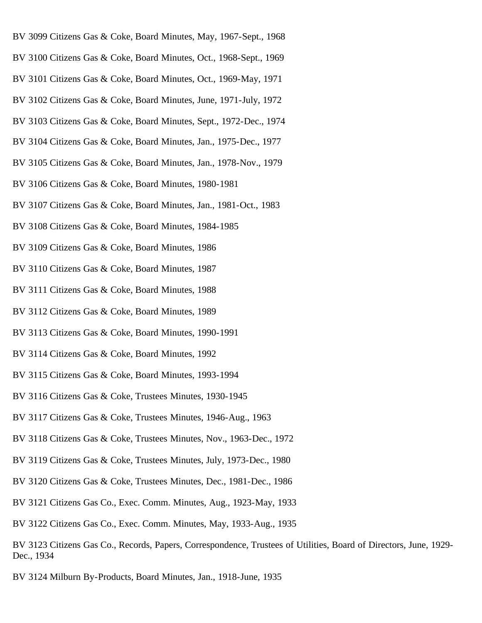- BV 3099 Citizens Gas & Coke, Board Minutes, May, 1967-Sept., 1968
- BV 3100 Citizens Gas & Coke, Board Minutes, Oct., 1968-Sept., 1969
- BV 3101 Citizens Gas & Coke, Board Minutes, Oct., 1969-May, 1971
- BV 3102 Citizens Gas & Coke, Board Minutes, June, 1971-July, 1972
- BV 3103 Citizens Gas & Coke, Board Minutes, Sept., 1972-Dec., 1974
- BV 3104 Citizens Gas & Coke, Board Minutes, Jan., 1975-Dec., 1977
- BV 3105 Citizens Gas & Coke, Board Minutes, Jan., 1978-Nov., 1979
- BV 3106 Citizens Gas & Coke, Board Minutes, 1980-1981
- BV 3107 Citizens Gas & Coke, Board Minutes, Jan., 1981-Oct., 1983
- BV 3108 Citizens Gas & Coke, Board Minutes, 1984-1985
- BV 3109 Citizens Gas & Coke, Board Minutes, 1986
- BV 3110 Citizens Gas & Coke, Board Minutes, 1987
- BV 3111 Citizens Gas & Coke, Board Minutes, 1988
- BV 3112 Citizens Gas & Coke, Board Minutes, 1989
- BV 3113 Citizens Gas & Coke, Board Minutes, 1990-1991
- BV 3114 Citizens Gas & Coke, Board Minutes, 1992
- BV 3115 Citizens Gas & Coke, Board Minutes, 1993-1994
- BV 3116 Citizens Gas & Coke, Trustees Minutes, 1930-1945
- BV 3117 Citizens Gas & Coke, Trustees Minutes, 1946-Aug., 1963
- BV 3118 Citizens Gas & Coke, Trustees Minutes, Nov., 1963-Dec., 1972
- BV 3119 Citizens Gas & Coke, Trustees Minutes, July, 1973-Dec., 1980
- BV 3120 Citizens Gas & Coke, Trustees Minutes, Dec., 1981-Dec., 1986
- BV 3121 Citizens Gas Co., Exec. Comm. Minutes, Aug., 1923-May, 1933
- BV 3122 Citizens Gas Co., Exec. Comm. Minutes, May, 1933-Aug., 1935
- BV 3123 Citizens Gas Co., Records, Papers, Correspondence, Trustees of Utilities, Board of Directors, June, 1929- Dec., 1934
- BV 3124 Milburn By-Products, Board Minutes, Jan., 1918-June, 1935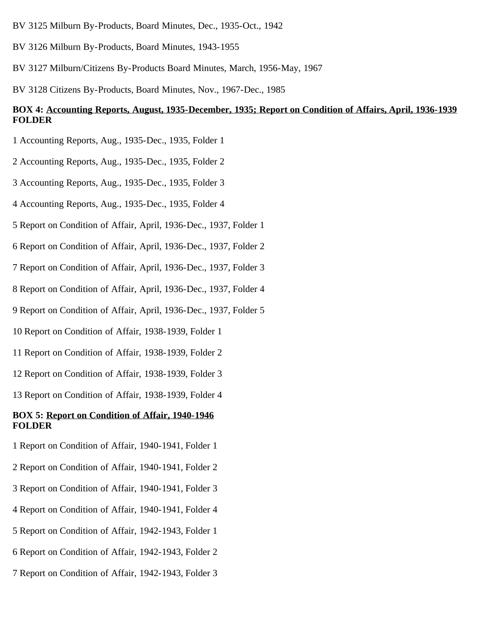- BV 3125 Milburn By-Products, Board Minutes, Dec., 1935-Oct., 1942
- BV 3126 Milburn By-Products, Board Minutes, 1943-1955
- BV 3127 Milburn/Citizens By-Products Board Minutes, March, 1956-May, 1967
- BV 3128 Citizens By-Products, Board Minutes, Nov., 1967-Dec., 1985

# **BOX 4: Accounting Reports, August, 1935-December, 1935; Report on Condition of Affairs, April, 1936-1939 FOLDER**

- 1 Accounting Reports, Aug., 1935-Dec., 1935, Folder 1
- 2 Accounting Reports, Aug., 1935-Dec., 1935, Folder 2
- 3 Accounting Reports, Aug., 1935-Dec., 1935, Folder 3
- 4 Accounting Reports, Aug., 1935-Dec., 1935, Folder 4
- 5 Report on Condition of Affair, April, 1936-Dec., 1937, Folder 1
- 6 Report on Condition of Affair, April, 1936-Dec., 1937, Folder 2
- 7 Report on Condition of Affair, April, 1936-Dec., 1937, Folder 3
- 8 Report on Condition of Affair, April, 1936-Dec., 1937, Folder 4
- 9 Report on Condition of Affair, April, 1936-Dec., 1937, Folder 5
- 10 Report on Condition of Affair, 1938-1939, Folder 1
- 11 Report on Condition of Affair, 1938-1939, Folder 2
- 12 Report on Condition of Affair, 1938-1939, Folder 3
- 13 Report on Condition of Affair, 1938-1939, Folder 4

#### **BOX 5: Report on Condition of Affair, 1940-1946 FOLDER**

- 1 Report on Condition of Affair, 1940-1941, Folder 1
- 2 Report on Condition of Affair, 1940-1941, Folder 2
- 3 Report on Condition of Affair, 1940-1941, Folder 3
- 4 Report on Condition of Affair, 1940-1941, Folder 4
- 5 Report on Condition of Affair, 1942-1943, Folder 1
- 6 Report on Condition of Affair, 1942-1943, Folder 2
- 7 Report on Condition of Affair, 1942-1943, Folder 3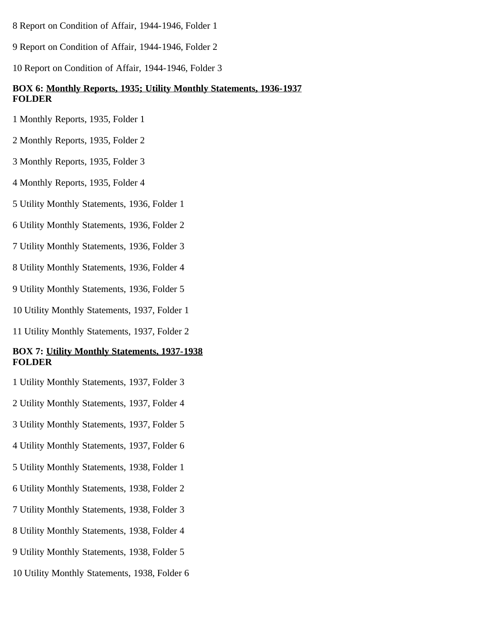- 8 Report on Condition of Affair, 1944-1946, Folder 1
- 9 Report on Condition of Affair, 1944-1946, Folder 2
- 10 Report on Condition of Affair, 1944-1946, Folder 3

# **BOX 6: Monthly Reports, 1935; Utility Monthly Statements, 1936-1937 FOLDER**

- 1 Monthly Reports, 1935, Folder 1
- 2 Monthly Reports, 1935, Folder 2
- 3 Monthly Reports, 1935, Folder 3
- 4 Monthly Reports, 1935, Folder 4
- 5 Utility Monthly Statements, 1936, Folder 1
- 6 Utility Monthly Statements, 1936, Folder 2
- 7 Utility Monthly Statements, 1936, Folder 3
- 8 Utility Monthly Statements, 1936, Folder 4
- 9 Utility Monthly Statements, 1936, Folder 5
- 10 Utility Monthly Statements, 1937, Folder 1
- 11 Utility Monthly Statements, 1937, Folder 2

#### **BOX 7: Utility Monthly Statements, 1937-1938 FOLDER**

- 1 Utility Monthly Statements, 1937, Folder 3
- 2 Utility Monthly Statements, 1937, Folder 4
- 3 Utility Monthly Statements, 1937, Folder 5
- 4 Utility Monthly Statements, 1937, Folder 6
- 5 Utility Monthly Statements, 1938, Folder 1
- 6 Utility Monthly Statements, 1938, Folder 2
- 7 Utility Monthly Statements, 1938, Folder 3
- 8 Utility Monthly Statements, 1938, Folder 4
- 9 Utility Monthly Statements, 1938, Folder 5
- 10 Utility Monthly Statements, 1938, Folder 6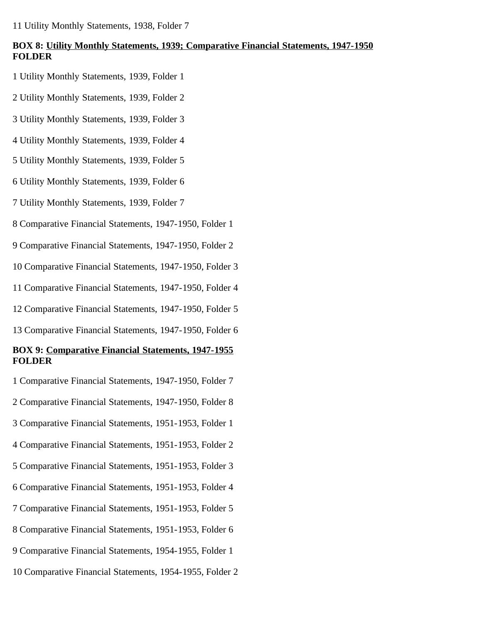11 Utility Monthly Statements, 1938, Folder 7

# **BOX 8: Utility Monthly Statements, 1939; Comparative Financial Statements, 1947-1950 FOLDER**

- 1 Utility Monthly Statements, 1939, Folder 1
- 2 Utility Monthly Statements, 1939, Folder 2
- 3 Utility Monthly Statements, 1939, Folder 3
- 4 Utility Monthly Statements, 1939, Folder 4
- 5 Utility Monthly Statements, 1939, Folder 5
- 6 Utility Monthly Statements, 1939, Folder 6
- 7 Utility Monthly Statements, 1939, Folder 7
- 8 Comparative Financial Statements, 1947-1950, Folder 1
- 9 Comparative Financial Statements, 1947-1950, Folder 2
- 10 Comparative Financial Statements, 1947-1950, Folder 3
- 11 Comparative Financial Statements, 1947-1950, Folder 4
- 12 Comparative Financial Statements, 1947-1950, Folder 5
- 13 Comparative Financial Statements, 1947-1950, Folder 6

# **BOX 9: Comparative Financial Statements, 1947-1955 FOLDER**

- 1 Comparative Financial Statements, 1947-1950, Folder 7
- 2 Comparative Financial Statements, 1947-1950, Folder 8
- 3 Comparative Financial Statements, 1951-1953, Folder 1
- 4 Comparative Financial Statements, 1951-1953, Folder 2
- 5 Comparative Financial Statements, 1951-1953, Folder 3
- 6 Comparative Financial Statements, 1951-1953, Folder 4
- 7 Comparative Financial Statements, 1951-1953, Folder 5
- 8 Comparative Financial Statements, 1951-1953, Folder 6
- 9 Comparative Financial Statements, 1954-1955, Folder 1
- 10 Comparative Financial Statements, 1954-1955, Folder 2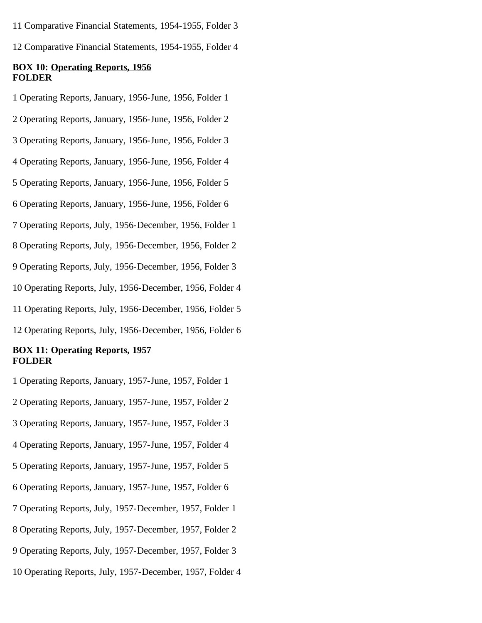11 Comparative Financial Statements, 1954-1955, Folder 3

12 Comparative Financial Statements, 1954-1955, Folder 4

#### **BOX 10: Operating Reports, 1956 FOLDER**

1 Operating Reports, January, 1956-June, 1956, Folder 1

2 Operating Reports, January, 1956-June, 1956, Folder 2

3 Operating Reports, January, 1956-June, 1956, Folder 3

4 Operating Reports, January, 1956-June, 1956, Folder 4

5 Operating Reports, January, 1956-June, 1956, Folder 5

6 Operating Reports, January, 1956-June, 1956, Folder 6

7 Operating Reports, July, 1956-December, 1956, Folder 1

8 Operating Reports, July, 1956-December, 1956, Folder 2

9 Operating Reports, July, 1956-December, 1956, Folder 3

10 Operating Reports, July, 1956-December, 1956, Folder 4

11 Operating Reports, July, 1956-December, 1956, Folder 5

12 Operating Reports, July, 1956-December, 1956, Folder 6

## **BOX 11: Operating Reports, 1957 FOLDER**

1 Operating Reports, January, 1957-June, 1957, Folder 1

2 Operating Reports, January, 1957-June, 1957, Folder 2

3 Operating Reports, January, 1957-June, 1957, Folder 3

4 Operating Reports, January, 1957-June, 1957, Folder 4

5 Operating Reports, January, 1957-June, 1957, Folder 5

6 Operating Reports, January, 1957-June, 1957, Folder 6

7 Operating Reports, July, 1957-December, 1957, Folder 1

8 Operating Reports, July, 1957-December, 1957, Folder 2

9 Operating Reports, July, 1957-December, 1957, Folder 3

10 Operating Reports, July, 1957-December, 1957, Folder 4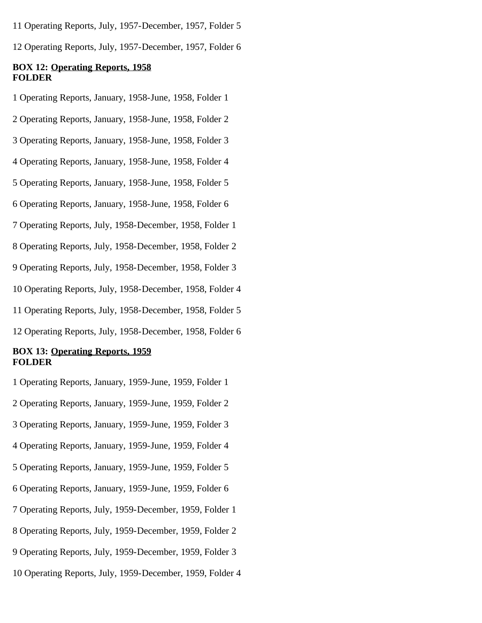11 Operating Reports, July, 1957-December, 1957, Folder 5

12 Operating Reports, July, 1957-December, 1957, Folder 6

#### **BOX 12: Operating Reports, 1958 FOLDER**

1 Operating Reports, January, 1958-June, 1958, Folder 1

2 Operating Reports, January, 1958-June, 1958, Folder 2

3 Operating Reports, January, 1958-June, 1958, Folder 3

4 Operating Reports, January, 1958-June, 1958, Folder 4

5 Operating Reports, January, 1958-June, 1958, Folder 5

6 Operating Reports, January, 1958-June, 1958, Folder 6

7 Operating Reports, July, 1958-December, 1958, Folder 1

8 Operating Reports, July, 1958-December, 1958, Folder 2

9 Operating Reports, July, 1958-December, 1958, Folder 3

10 Operating Reports, July, 1958-December, 1958, Folder 4

11 Operating Reports, July, 1958-December, 1958, Folder 5

12 Operating Reports, July, 1958-December, 1958, Folder 6

# **BOX 13: Operating Reports, 1959 FOLDER**

1 Operating Reports, January, 1959-June, 1959, Folder 1

2 Operating Reports, January, 1959-June, 1959, Folder 2

3 Operating Reports, January, 1959-June, 1959, Folder 3

4 Operating Reports, January, 1959-June, 1959, Folder 4

5 Operating Reports, January, 1959-June, 1959, Folder 5

6 Operating Reports, January, 1959-June, 1959, Folder 6

7 Operating Reports, July, 1959-December, 1959, Folder 1

8 Operating Reports, July, 1959-December, 1959, Folder 2

9 Operating Reports, July, 1959-December, 1959, Folder 3

10 Operating Reports, July, 1959-December, 1959, Folder 4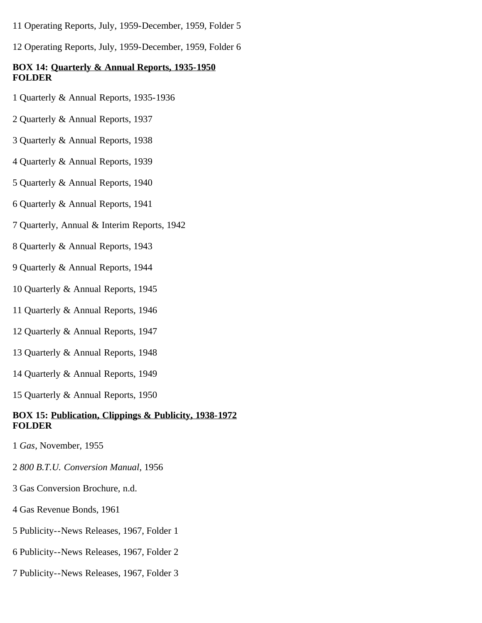11 Operating Reports, July, 1959-December, 1959, Folder 5

12 Operating Reports, July, 1959-December, 1959, Folder 6

# **BOX 14: Quarterly & Annual Reports, 1935-1950 FOLDER**

- 1 Quarterly & Annual Reports, 1935-1936
- 2 Quarterly & Annual Reports, 1937
- 3 Quarterly & Annual Reports, 1938
- 4 Quarterly & Annual Reports, 1939
- 5 Quarterly & Annual Reports, 1940
- 6 Quarterly & Annual Reports, 1941
- 7 Quarterly, Annual & Interim Reports, 1942
- 8 Quarterly & Annual Reports, 1943
- 9 Quarterly & Annual Reports, 1944
- 10 Quarterly & Annual Reports, 1945
- 11 Quarterly & Annual Reports, 1946
- 12 Quarterly & Annual Reports, 1947
- 13 Quarterly & Annual Reports, 1948
- 14 Quarterly & Annual Reports, 1949
- 15 Quarterly & Annual Reports, 1950

# **BOX 15: Publication, Clippings & Publicity, 1938-1972 FOLDER**

- 1 *Gas*, November, 1955
- 2 *800 B.T.U. Conversion Manual*, 1956
- 3 Gas Conversion Brochure, n.d.
- 4 Gas Revenue Bonds, 1961
- 5 Publicity--News Releases, 1967, Folder 1
- 6 Publicity--News Releases, 1967, Folder 2
- 7 Publicity--News Releases, 1967, Folder 3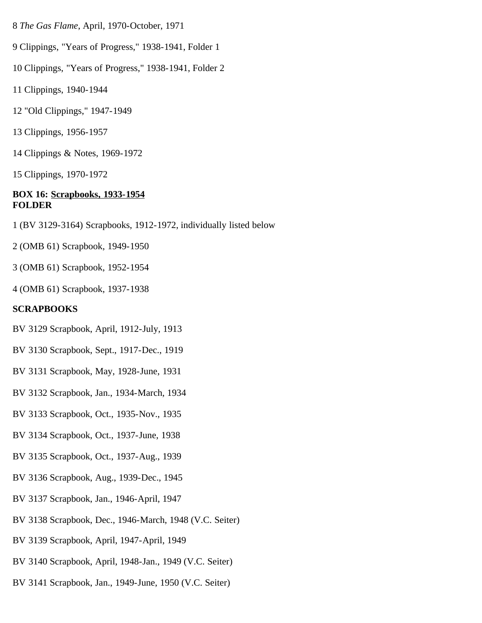- 8 *The Gas Flame*, April, 1970-October, 1971
- 9 Clippings, "Years of Progress," 1938-1941, Folder 1
- 10 Clippings, "Years of Progress," 1938-1941, Folder 2
- 11 Clippings, 1940-1944
- 12 "Old Clippings," 1947-1949
- 13 Clippings, 1956-1957
- 14 Clippings & Notes, 1969-1972
- 15 Clippings, 1970-1972

#### **BOX 16: Scrapbooks, 1933-1954 FOLDER**

- 1 (BV 3129-3164) Scrapbooks, 1912-1972, individually listed below
- 2 (OMB 61) Scrapbook, 1949-1950
- 3 (OMB 61) Scrapbook, 1952-1954
- 4 (OMB 61) Scrapbook, 1937-1938

#### **SCRAPBOOKS**

- BV 3129 Scrapbook, April, 1912-July, 1913
- BV 3130 Scrapbook, Sept., 1917-Dec., 1919
- BV 3131 Scrapbook, May, 1928-June, 1931
- BV 3132 Scrapbook, Jan., 1934-March, 1934
- BV 3133 Scrapbook, Oct., 1935-Nov., 1935
- BV 3134 Scrapbook, Oct., 1937-June, 1938
- BV 3135 Scrapbook, Oct., 1937-Aug., 1939
- BV 3136 Scrapbook, Aug., 1939-Dec., 1945
- BV 3137 Scrapbook, Jan., 1946-April, 1947
- BV 3138 Scrapbook, Dec., 1946-March, 1948 (V.C. Seiter)
- BV 3139 Scrapbook, April, 1947-April, 1949
- BV 3140 Scrapbook, April, 1948-Jan., 1949 (V.C. Seiter)
- BV 3141 Scrapbook, Jan., 1949-June, 1950 (V.C. Seiter)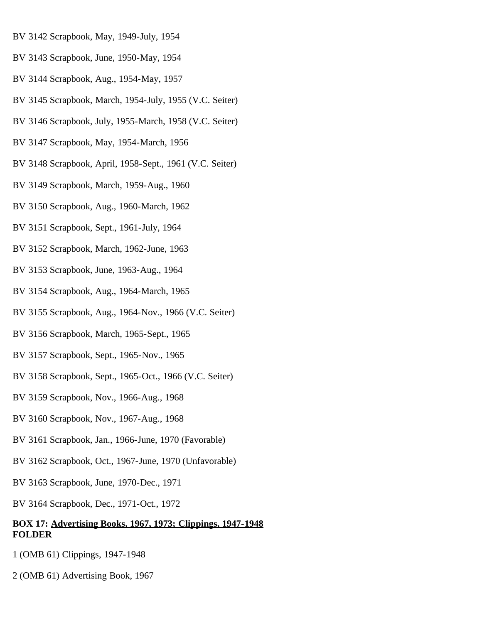- BV 3142 Scrapbook, May, 1949-July, 1954
- BV 3143 Scrapbook, June, 1950-May, 1954
- BV 3144 Scrapbook, Aug., 1954-May, 1957
- BV 3145 Scrapbook, March, 1954-July, 1955 (V.C. Seiter)
- BV 3146 Scrapbook, July, 1955-March, 1958 (V.C. Seiter)
- BV 3147 Scrapbook, May, 1954-March, 1956
- BV 3148 Scrapbook, April, 1958-Sept., 1961 (V.C. Seiter)
- BV 3149 Scrapbook, March, 1959-Aug., 1960
- BV 3150 Scrapbook, Aug., 1960-March, 1962
- BV 3151 Scrapbook, Sept., 1961-July, 1964
- BV 3152 Scrapbook, March, 1962-June, 1963
- BV 3153 Scrapbook, June, 1963-Aug., 1964
- BV 3154 Scrapbook, Aug., 1964-March, 1965
- BV 3155 Scrapbook, Aug., 1964-Nov., 1966 (V.C. Seiter)
- BV 3156 Scrapbook, March, 1965-Sept., 1965
- BV 3157 Scrapbook, Sept., 1965-Nov., 1965
- BV 3158 Scrapbook, Sept., 1965-Oct., 1966 (V.C. Seiter)
- BV 3159 Scrapbook, Nov., 1966-Aug., 1968
- BV 3160 Scrapbook, Nov., 1967-Aug., 1968
- BV 3161 Scrapbook, Jan., 1966-June, 1970 (Favorable)
- BV 3162 Scrapbook, Oct., 1967-June, 1970 (Unfavorable)
- BV 3163 Scrapbook, June, 1970-Dec., 1971
- BV 3164 Scrapbook, Dec., 1971-Oct., 1972

## **BOX 17: Advertising Books, 1967, 1973; Clippings, 1947-1948 FOLDER**

- 1 (OMB 61) Clippings, 1947-1948
- 2 (OMB 61) Advertising Book, 1967